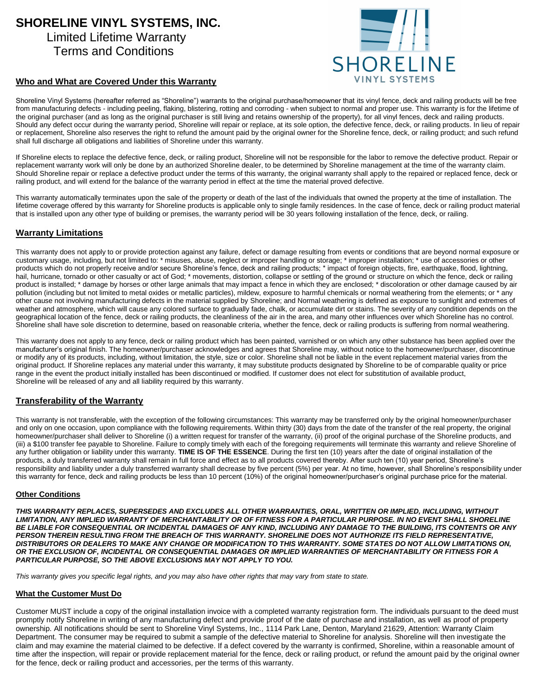# **SHORELINE VINYL SYSTEMS, INC.**

### Limited Lifetime Warranty Terms and Conditions



#### **Who and What are Covered Under this Warranty**

Shoreline Vinyl Systems (hereafter referred as "Shoreline") warrants to the original purchase/homeowner that its vinyl fence, deck and railing products will be free from manufacturing defects - including peeling, flaking, blistering, rotting and corroding - when subject to normal and proper use. This warranty is for the lifetime of the original purchaser (and as long as the original purchaser is still living and retains ownership of the property), for all vinyl fences, deck and railing products. Should any defect occur during the warranty period, Shoreline will repair or replace, at its sole option, the defective fence, deck, or railing products. In lieu of repair or replacement, Shoreline also reserves the right to refund the amount paid by the original owner for the Shoreline fence, deck, or railing product; and such refund shall full discharge all obligations and liabilities of Shoreline under this warranty.

If Shoreline elects to replace the defective fence, deck, or railing product, Shoreline will not be responsible for the labor to remove the defective product. Repair or replacement warranty work will only be done by an authorized Shoreline dealer, to be determined by Shoreline management at the time of the warranty claim. Should Shoreline repair or replace a defective product under the terms of this warranty, the original warranty shall apply to the repaired or replaced fence, deck or railing product, and will extend for the balance of the warranty period in effect at the time the material proved defective.

This warranty automatically terminates upon the sale of the property or death of the last of the individuals that owned the property at the time of installation. The lifetime coverage offered by this warranty for Shoreline products is applicable only to single family residences. In the case of fence, deck or railing product material that is installed upon any other type of building or premises, the warranty period will be 30 years following installation of the fence, deck, or railing.

#### **Warranty Limitations**

This warranty does not apply to or provide protection against any failure, defect or damage resulting from events or conditions that are beyond normal exposure or customary usage, including, but not limited to: \* misuses, abuse, neglect or improper handling or storage; \* improper installation; \* use of accessories or other products which do not properly receive and/or secure Shoreline's fence, deck and railing products; \* impact of foreign objects, fire, earthquake, flood, lightning, hail, hurricane, tornado or other casualty or act of God; \* movements, distortion, collapse or settling of the ground or structure on which the fence, deck or railing product is installed; \* damage by horses or other large animals that may impact a fence in which they are enclosed; \* discoloration or other damage caused by air pollution (including but not limited to metal oxides or metallic particles), mildew, exposure to harmful chemicals or normal weathering from the elements; or \* any other cause not involving manufacturing defects in the material supplied by Shoreline; and Normal weathering is defined as exposure to sunlight and extremes of weather and atmosphere, which will cause any colored surface to gradually fade, chalk, or accumulate dirt or stains. The severity of any condition depends on the geographical location of the fence, deck or railing products, the cleanliness of the air in the area, and many other influences over which Shoreline has no control. Shoreline shall have sole discretion to determine, based on reasonable criteria, whether the fence, deck or railing products is suffering from normal weathering.

This warranty does not apply to any fence, deck or railing product which has been painted, varnished or on which any other substance has been applied over the manufacturer's original finish. The homeowner/purchaser acknowledges and agrees that Shoreline may, without notice to the homeowner/purchaser, discontinue or modify any of its products, including, without limitation, the style, size or color. Shoreline shall not be liable in the event replacement material varies from the original product. If Shoreline replaces any material under this warranty, it may substitute products designated by Shoreline to be of comparable quality or price range in the event the product initially installed has been discontinued or modified. If customer does not elect for substitution of available product, Shoreline will be released of any and all liability required by this warranty.

#### **Transferability of the Warranty**

This warranty is not transferable, with the exception of the following circumstances: This warranty may be transferred only by the original homeowner/purchaser and only on one occasion, upon compliance with the following requirements. Within thirty (30) days from the date of the transfer of the real property, the original homeowner/purchaser shall deliver to Shoreline (i) a written request for transfer of the warranty, (ii) proof of the original purchase of the Shoreline products, and (iii) a \$100 transfer fee payable to Shoreline. Failure to comply timely with each of the foregoing requirements will terminate this warranty and relieve Shoreline of any further obligation or liability under this warranty. **TIME IS OF THE ESSENCE**. During the first ten (10) years after the date of original installation of the products, a duly transferred warranty shall remain in full force and effect as to all products covered thereby. After such ten (10) year period, Shoreline's responsibility and liability under a duly transferred warranty shall decrease by five percent (5%) per year. At no time, however, shall Shoreline's responsibility under this warranty for fence, deck and railing products be less than 10 percent (10%) of the original homeowner/purchaser's original purchase price for the material.

#### **Other Conditions**

*THIS WARRANTY REPLACES, SUPERSEDES AND EXCLUDES ALL OTHER WARRANTIES, ORAL, WRITTEN OR IMPLIED, INCLUDING, WITHOUT LIMITATION, ANY IMPLIED WARRANTY OF MERCHANTABILITY OR OF FITNESS FOR A PARTICULAR PURPOSE. IN NO EVENT SHALL SHORELINE BE LIABLE FOR CONSEQUENTIAL OR INCIDENTAL DAMAGES OF ANY KIND, INCLUDING ANY DAMAGE TO THE BUILDING, ITS CONTENTS OR ANY PERSON THEREIN RESULTING FROM THE BREACH OF THIS WARRANTY. SHORELINE DOES NOT AUTHORIZE ITS FIELD REPRESENTATIVE, DISTRIBUTORS OR DEALERS TO MAKE ANY CHANGE OR MODIFICATION TO THIS WARRANTY. SOME STATES DO NOT ALLOW LIMITATIONS ON, OR THE EXCLUSION OF, INCIDENTAL OR CONSEQUENTIAL DAMAGES OR IMPLIED WARRANTIES OF MERCHANTABILITY OR FITNESS FOR A PARTICULAR PURPOSE, SO THE ABOVE EXCLUSIONS MAY NOT APPLY TO YOU.* 

*This warranty gives you specific legal rights, and you may also have other rights that may vary from state to state.* 

#### **What the Customer Must Do**

Customer MUST include a copy of the original installation invoice with a completed warranty registration form. The individuals pursuant to the deed must promptly notify Shoreline in writing of any manufacturing defect and provide proof of the date of purchase and installation, as well as proof of property ownership. All notifications should be sent to Shoreline Vinyl Systems, Inc., 1114 Park Lane, Denton, Maryland 21629, Attention: Warranty Claim Department. The consumer may be required to submit a sample of the defective material to Shoreline for analysis. Shoreline will then investigate the claim and may examine the material claimed to be defective. If a defect covered by the warranty is confirmed, Shoreline, within a reasonable amount of time after the inspection, will repair or provide replacement material for the fence, deck or railing product, or refund the amount paid by the original owner for the fence, deck or railing product and accessories, per the terms of this warranty.